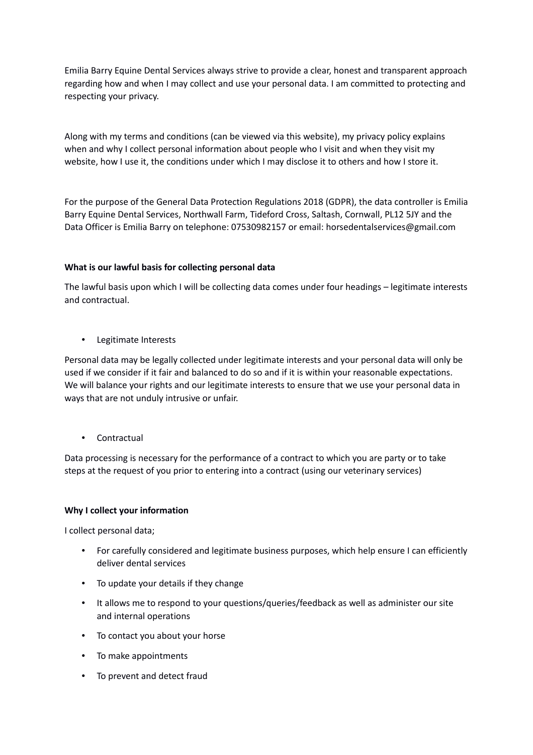Emilia Barry Equine Dental Services always strive to provide a clear, honest and transparent approach regarding how and when I may collect and use your personal data. I am committed to protecting and respecting your privacy.

Along with my terms and conditions (can be viewed via this website), my privacy policy explains when and why I collect personal information about people who I visit and when they visit my website, how I use it, the conditions under which I may disclose it to others and how I store it.

For the purpose of the General Data Protection Regulations 2018 (GDPR), the data controller is Emilia Barry Equine Dental Services, Northwall Farm, Tideford Cross, Saltash, Cornwall, PL12 5JY and the Data Officer is Emilia Barry on telephone: 07530982157 or email: horsedentalservices@gmail.com

# **What is our lawful basis for collecting personal data**

The lawful basis upon which I will be collecting data comes under four headings – legitimate interests and contractual.

• Legitimate Interests

Personal data may be legally collected under legitimate interests and your personal data will only be used if we consider if it fair and balanced to do so and if it is within your reasonable expectations. We will balance your rights and our legitimate interests to ensure that we use your personal data in ways that are not unduly intrusive or unfair.

• Contractual

Data processing is necessary for the performance of a contract to which you are party or to take steps at the request of you prior to entering into a contract (using our veterinary services)

### **Why I collect your information**

I collect personal data;

- For carefully considered and legitimate business purposes, which help ensure I can efficiently deliver dental services
- To update your details if they change
- It allows me to respond to your questions/queries/feedback as well as administer our site and internal operations
- To contact you about your horse
- To make appointments
- To prevent and detect fraud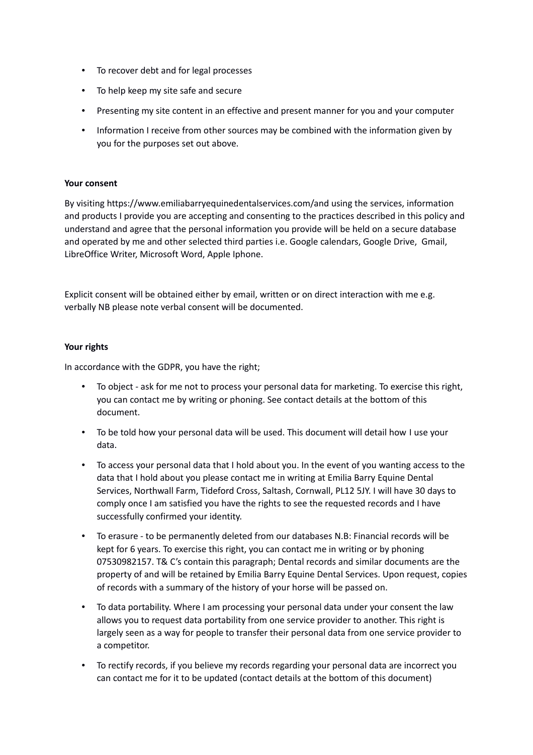- To recover debt and for legal processes
- To help keep my site safe and secure
- Presenting my site content in an effective and present manner for you and your computer
- Information I receive from other sources may be combined with the information given by you for the purposes set out above.

#### **Your consent**

By visiting https://www.emiliabarryequinedentalservices.com/and using the services, information and products I provide you are accepting and consenting to the practices described in this policy and understand and agree that the personal information you provide will be held on a secure database and operated by me and other selected third parties i.e. Google calendars, Google Drive, Gmail, LibreOffice Writer, Microsoft Word, Apple Iphone.

Explicit consent will be obtained either by email, written or on direct interaction with me e.g. verbally NB please note verbal consent will be documented.

#### **Your rights**

In accordance with the GDPR, you have the right;

- To object ask for me not to process your personal data for marketing. To exercise this right, you can contact me by writing or phoning. See contact details at the bottom of this document.
- To be told how your personal data will be used. This document will detail how I use your data.
- To access your personal data that I hold about you. In the event of you wanting access to the data that I hold about you please contact me in writing at Emilia Barry Equine Dental Services, Northwall Farm, Tideford Cross, Saltash, Cornwall, PL12 5JY. I will have 30 days to comply once I am satisfied you have the rights to see the requested records and I have successfully confirmed your identity.
- To erasure to be permanently deleted from our databases N.B: Financial records will be kept for 6 years. To exercise this right, you can contact me in writing or by phoning 07530982157. T& C's contain this paragraph; Dental records and similar documents are the property of and will be retained by Emilia Barry Equine Dental Services. Upon request, copies of records with a summary of the history of your horse will be passed on.
- To data portability. Where I am processing your personal data under your consent the law allows you to request data portability from one service provider to another. This right is largely seen as a way for people to transfer their personal data from one service provider to a competitor.
- To rectify records, if you believe my records regarding your personal data are incorrect you can contact me for it to be updated (contact details at the bottom of this document)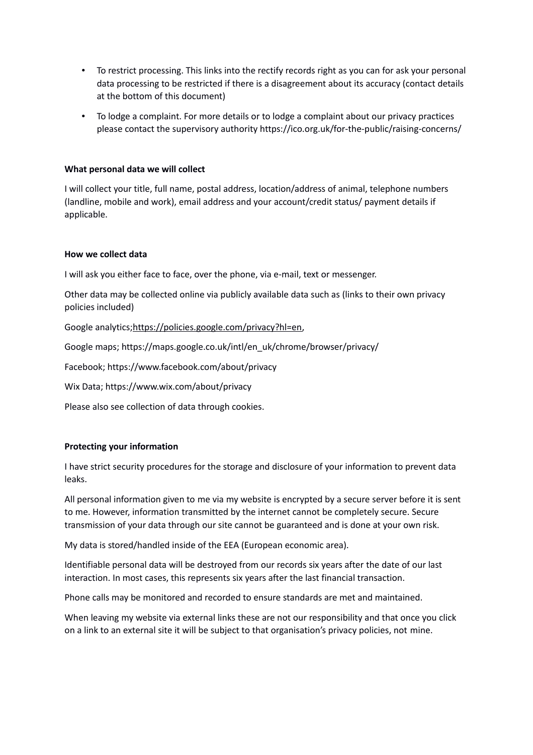- To restrict processing. This links into the rectify records right as you can for ask your personal data processing to be restricted if there is a disagreement about its accuracy (contact details at the bottom of this document)
- To lodge a complaint. For more details or to lodge a complaint about our privacy practices please contact the supervisory authority https://ico.org.uk/for-the-public/raising-concerns/

## **What personal data we will collect**

I will collect your title, full name, postal address, location/address of animal, telephone numbers (landline, mobile and work), email address and your account/credit status/ payment details if applicable.

# **How we collect data**

I will ask you either face to face, over the phone, via e-mail, text or messenger.

Other data may be collected online via publicly available data such as (links to their own privacy policies included)

Google analytics;https://policies.google.com/privacy?hl=en,

Google maps; https://maps.google.co.uk/intl/en\_uk/chrome/browser/privacy/

Facebook; https://www.facebook.com/about/privacy

Wix Data; https://www.wix.com/about/privacy

Please also see collection of data through cookies.

### **Protecting your information**

I have strict security procedures for the storage and disclosure of your information to prevent data leaks.

All personal information given to me via my website is encrypted by a secure server before it is sent to me. However, information transmitted by the internet cannot be completely secure. Secure transmission of your data through our site cannot be guaranteed and is done at your own risk.

My data is stored/handled inside of the EEA (European economic area).

Identifiable personal data will be destroyed from our records six years after the date of our last interaction. In most cases, this represents six years after the last financial transaction.

Phone calls may be monitored and recorded to ensure standards are met and maintained.

When leaving my website via external links these are not our responsibility and that once you click on a link to an external site it will be subject to that organisation's privacy policies, not mine.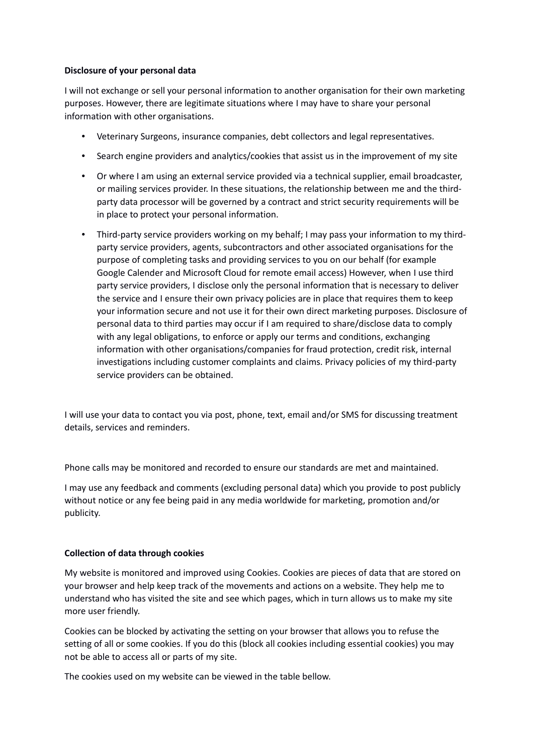## **Disclosure of your personal data**

I will not exchange or sell your personal information to another organisation for their own marketing purposes. However, there are legitimate situations where I may have to share your personal information with other organisations.

- Veterinary Surgeons, insurance companies, debt collectors and legal representatives.
- Search engine providers and analytics/cookies that assist us in the improvement of my site
- Or where I am using an external service provided via a technical supplier, email broadcaster, or mailing services provider. In these situations, the relationship between me and the thirdparty data processor will be governed by a contract and strict security requirements will be in place to protect your personal information.
- Third-party service providers working on my behalf; I may pass your information to my thirdparty service providers, agents, subcontractors and other associated organisations for the purpose of completing tasks and providing services to you on our behalf (for example Google Calender and Microsoft Cloud for remote email access) However, when I use third party service providers, I disclose only the personal information that is necessary to deliver the service and I ensure their own privacy policies are in place that requires them to keep your information secure and not use it for their own direct marketing purposes. Disclosure of personal data to third parties may occur if I am required to share/disclose data to comply with any legal obligations, to enforce or apply our terms and conditions, exchanging information with other organisations/companies for fraud protection, credit risk, internal investigations including customer complaints and claims. Privacy policies of my third-party service providers can be obtained.

I will use your data to contact you via post, phone, text, email and/or SMS for discussing treatment details, services and reminders.

Phone calls may be monitored and recorded to ensure our standards are met and maintained.

I may use any feedback and comments (excluding personal data) which you provide to post publicly without notice or any fee being paid in any media worldwide for marketing, promotion and/or publicity.

# **Collection of data through cookies**

My website is monitored and improved using Cookies. Cookies are pieces of data that are stored on your browser and help keep track of the movements and actions on a website. They help me to understand who has visited the site and see which pages, which in turn allows us to make my site more user friendly.

Cookies can be blocked by activating the setting on your browser that allows you to refuse the setting of all or some cookies. If you do this (block all cookies including essential cookies) you may not be able to access all or parts of my site.

The cookies used on my website can be viewed in the table bellow.